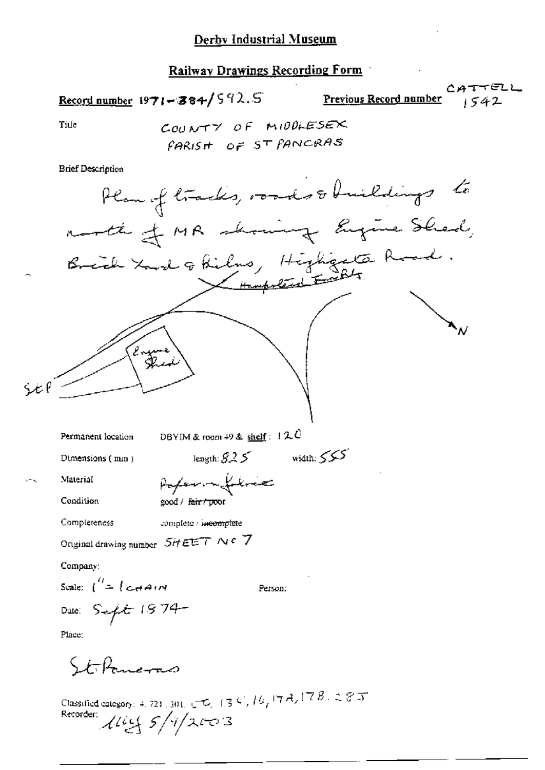## Derby Industrial Museum

## Railway Drawings Recording Form

Record number  $1971 - 384/592.5$ 

رے<br>Previous Record number

1TTELL<br>1542

Tide

**Brief Description** 

Plan of friends, records of building the  
\n
$$
n
$$
 and the  
\n $n$  and the  
\n $n$  and the  
\n $n$  and the  
\n $n$  and the  
\n $n$  and the  
\n $n$  and the  
\n $n$  and the  
\n $n$  and the  
\n $n$  and the  
\n $n$  and the  
\n $n$  and the  
\n $n$  and the  
\n $n$  and the  
\n $n$  and the  
\n $n$  and the  
\n $n$  and the  
\n $n$  and the  
\n $n$  and the  
\n $n$  and the  
\n $n$  and the  
\n $n$  and the  
\n $n$  and the  
\n $n$  and the  
\n $n$  and the  
\n $n$  and the  
\n $n$  and the  
\n $n$  and the  
\n $n$  and the  
\n $n$  and the  
\n $n$  and the  
\n $n$  and the  
\n $n$  and the  
\n $n$  and the  
\n $n$  and the  
\n $n$  and the  
\n $n$  and the  
\n $n$  and the  
\n $n$  and the  
\n $n$  and the  
\n $n$  and the  
\n $n$  and the  
\n $n$  and the  
\n $n$  and the  
\n $n$  and the  
\n $n$  and the  
\n $n$  and the  
\n $n$  and the  
\n $n$  and the  
\n $n$  and the  
\n $n$  and the  
\n $n$  and the  
\n $n$  and the  
\n $n$  and the  
\n $n$  and the  
\n $n$  and the  
\n $n$  and the  
\n $n$  and the  
\n $n$  and the  
\n $n$  and the  
\n $n$  and the  
\n $n$  and the  
\n $n$  and the  
\n $n$  and the  
\n $n$  and the  
\n $n$  and the  
\n $n$  and the  
\n $n$  and the  
\n $n$ 

Classified category: 4, 721, 301, CO, 134, 14, 17A, 17B, 285